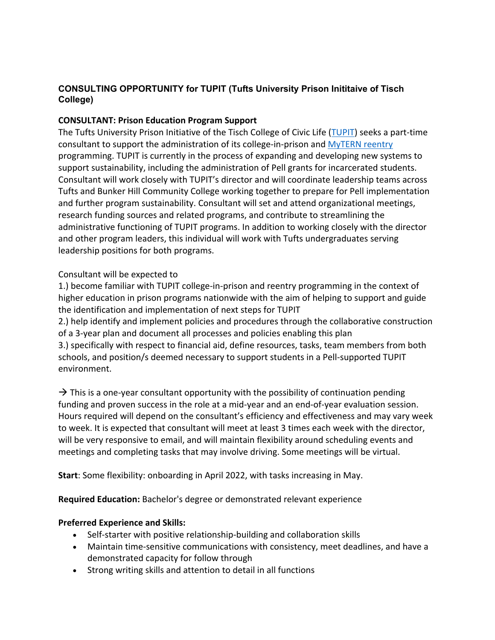# **CONSULTING OPPORTUNITY for TUPIT (Tufts University Prison Inititaive of Tisch College)**

## **CONSULTANT: Prison Education Program Support**

The Tufts University Prison Initiative of the Tisch College of Civic Life (TUPIT) seeks a part-time consultant to support the administration of its college-in-prison and MyTERN reentry programming. TUPIT is currently in the process of expanding and developing new systems to support sustainability, including the administration of Pell grants for incarcerated students. Consultant will work closely with TUPIT's director and will coordinate leadership teams across Tufts and Bunker Hill Community College working together to prepare for Pell implementation and further program sustainability. Consultant will set and attend organizational meetings, research funding sources and related programs, and contribute to streamlining the administrative functioning of TUPIT programs. In addition to working closely with the director and other program leaders, this individual will work with Tufts undergraduates serving leadership positions for both programs.

### Consultant will be expected to

1.) become familiar with TUPIT college-in-prison and reentry programming in the context of higher education in prison programs nationwide with the aim of helping to support and guide the identification and implementation of next steps for TUPIT

2.) help identify and implement policies and procedures through the collaborative construction of a 3-year plan and document all processes and policies enabling this plan

3.) specifically with respect to financial aid, define resources, tasks, team members from both schools, and position/s deemed necessary to support students in a Pell-supported TUPIT environment.

 $\rightarrow$  This is a one-year consultant opportunity with the possibility of continuation pending funding and proven success in the role at a mid-year and an end-of-year evaluation session. Hours required will depend on the consultant's efficiency and effectiveness and may vary week to week. It is expected that consultant will meet at least 3 times each week with the director, will be very responsive to email, and will maintain flexibility around scheduling events and meetings and completing tasks that may involve driving. Some meetings will be virtual.

**Start**: Some flexibility: onboarding in April 2022, with tasks increasing in May.

**Required Education:** Bachelor's degree or demonstrated relevant experience

#### **Preferred Experience and Skills:**

- Self-starter with positive relationship-building and collaboration skills
- Maintain time-sensitive communications with consistency, meet deadlines, and have a demonstrated capacity for follow through
- Strong writing skills and attention to detail in all functions